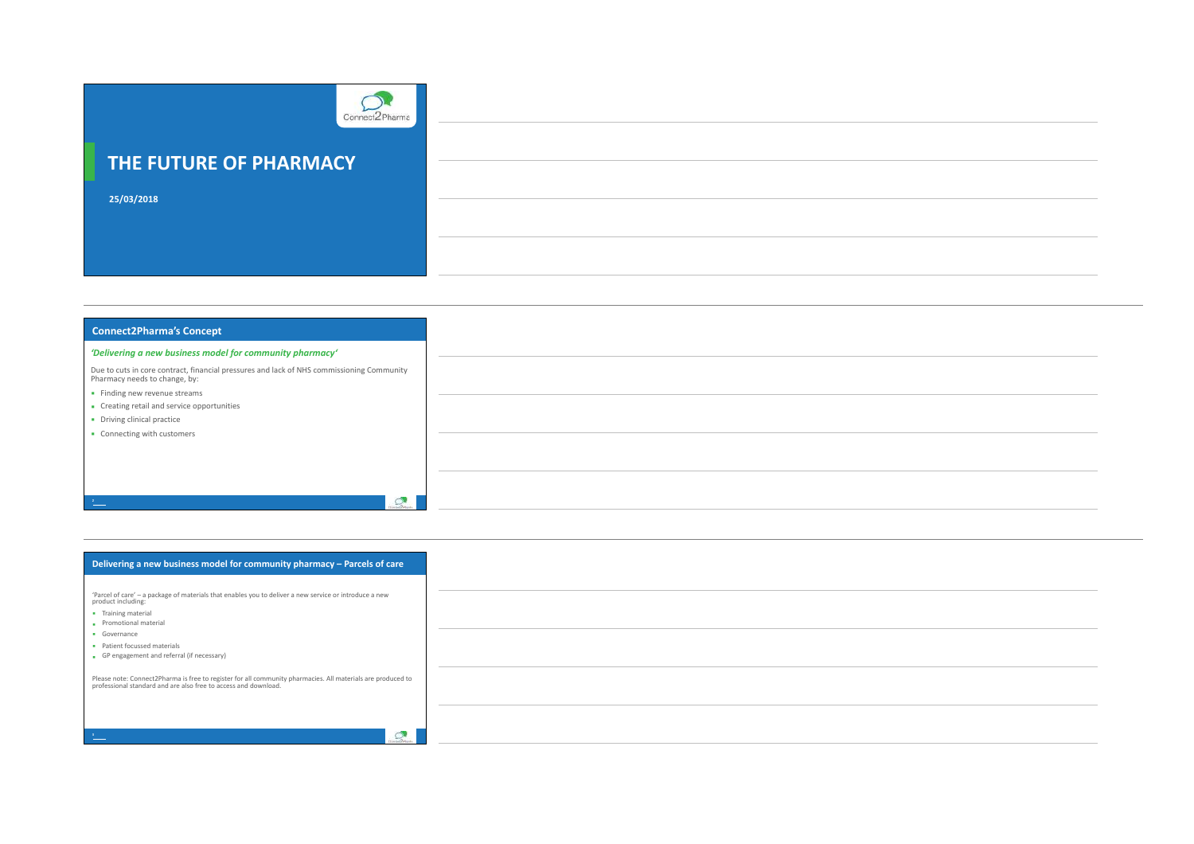

## **THE FUTURE OF PHARMACY**

**25/03/2018**

| <b>Connect2Pharma's Concept</b>                                                                                            |               |
|----------------------------------------------------------------------------------------------------------------------------|---------------|
| 'Delivering a new business model for community pharmacy'                                                                   |               |
| Due to cuts in core contract, financial pressures and lack of NHS commissioning Community<br>Pharmacy needs to change, by: |               |
| • Finding new revenue streams                                                                                              |               |
| Creating retail and service opportunities                                                                                  |               |
| • Driving clinical practice                                                                                                |               |
| • Connecting with customers                                                                                                |               |
|                                                                                                                            |               |
|                                                                                                                            |               |
|                                                                                                                            |               |
| $\frac{2}{2}$                                                                                                              | $\mathcal{L}$ |

| Delivering a new business model for community pharmacy - Parcels of care                                                                                                                                                                                                                                                                                                                                                                                        |
|-----------------------------------------------------------------------------------------------------------------------------------------------------------------------------------------------------------------------------------------------------------------------------------------------------------------------------------------------------------------------------------------------------------------------------------------------------------------|
|                                                                                                                                                                                                                                                                                                                                                                                                                                                                 |
| 'Parcel of care' - a package of materials that enables you to deliver a new service or introduce a new<br>product including:                                                                                                                                                                                                                                                                                                                                    |
| - Training material<br>Promotional material                                                                                                                                                                                                                                                                                                                                                                                                                     |
| · Governance                                                                                                                                                                                                                                                                                                                                                                                                                                                    |
| · Patient focussed materials<br>GP engagement and referral (if necessary)                                                                                                                                                                                                                                                                                                                                                                                       |
|                                                                                                                                                                                                                                                                                                                                                                                                                                                                 |
| Please note: Connect2Pharma is free to register for all community pharmacies. All materials are produced to<br>professional standard and are also free to access and download.                                                                                                                                                                                                                                                                                  |
|                                                                                                                                                                                                                                                                                                                                                                                                                                                                 |
|                                                                                                                                                                                                                                                                                                                                                                                                                                                                 |
| $\mathcal{Q}$<br>$\frac{1}{2} \left( \frac{1}{2} \right) + \frac{1}{2} \left( \frac{1}{2} \right) + \frac{1}{2} \left( \frac{1}{2} \right) + \frac{1}{2} \left( \frac{1}{2} \right) + \frac{1}{2} \left( \frac{1}{2} \right) + \frac{1}{2} \left( \frac{1}{2} \right) + \frac{1}{2} \left( \frac{1}{2} \right) + \frac{1}{2} \left( \frac{1}{2} \right) + \frac{1}{2} \left( \frac{1}{2} \right) + \frac{1}{2} \left( \frac{1}{2} \right) + \frac{1}{2} \left($ |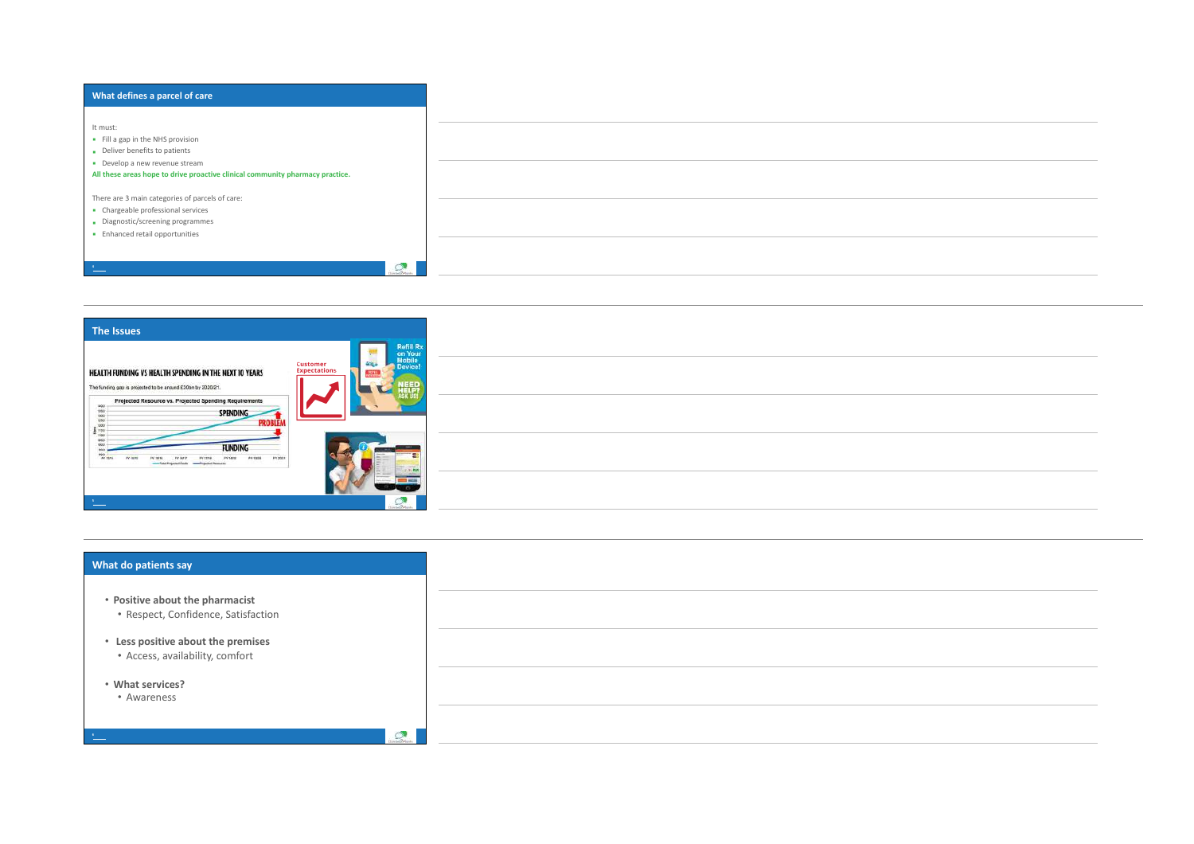



 $\circ$ 

## **What do patients say**

- Positive about the pharmacist • Respect, Confidence, Satisfaction
- 
- **Less positive about the premises** 
	- Access, availability, comfort

## • What services?

**6**

• Awareness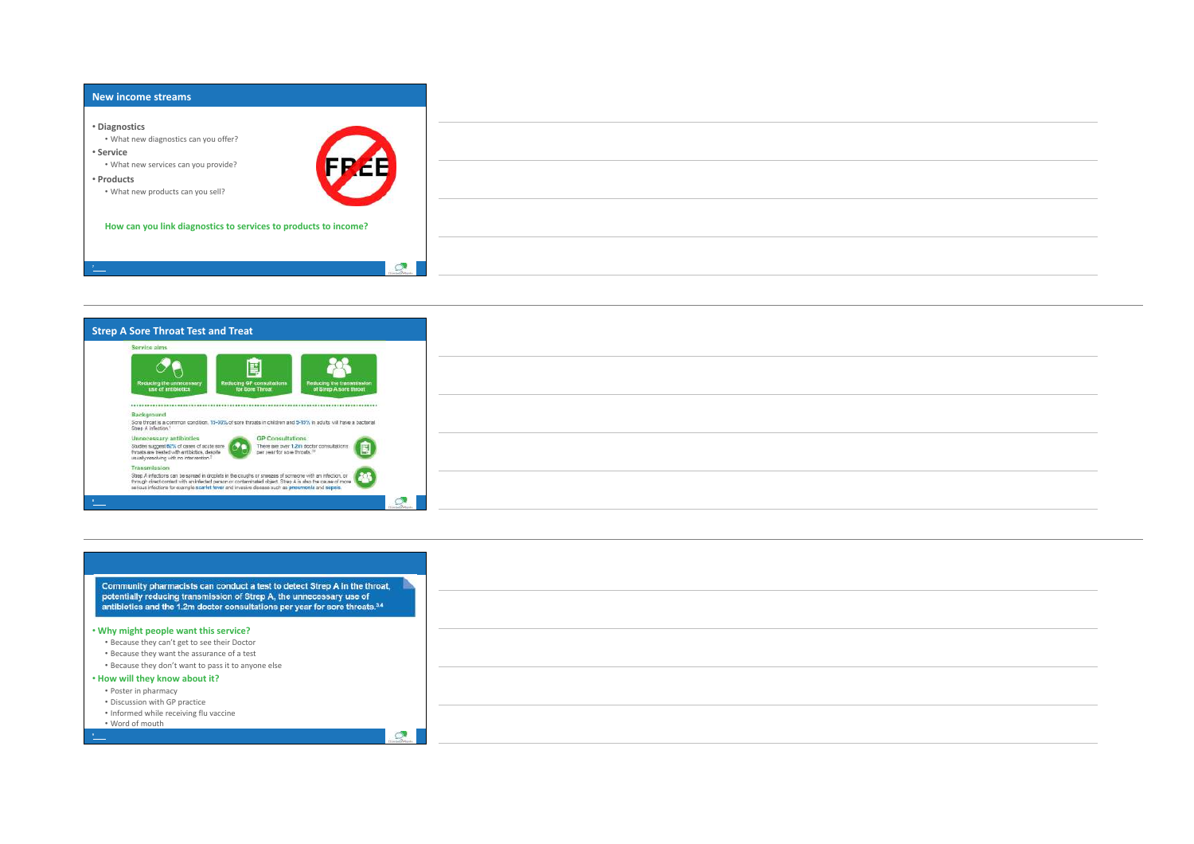| New income streams                                                                                |  |
|---------------------------------------------------------------------------------------------------|--|
| • Diagnostics<br>. What new diagnostics can you offer?<br>• Service                               |  |
| Æ<br>D<br>. What new services can you provide?<br>• Products<br>. What new products can you sell? |  |
| How can you link diagnostics to services to products to income?                                   |  |
| $\circ$                                                                                           |  |





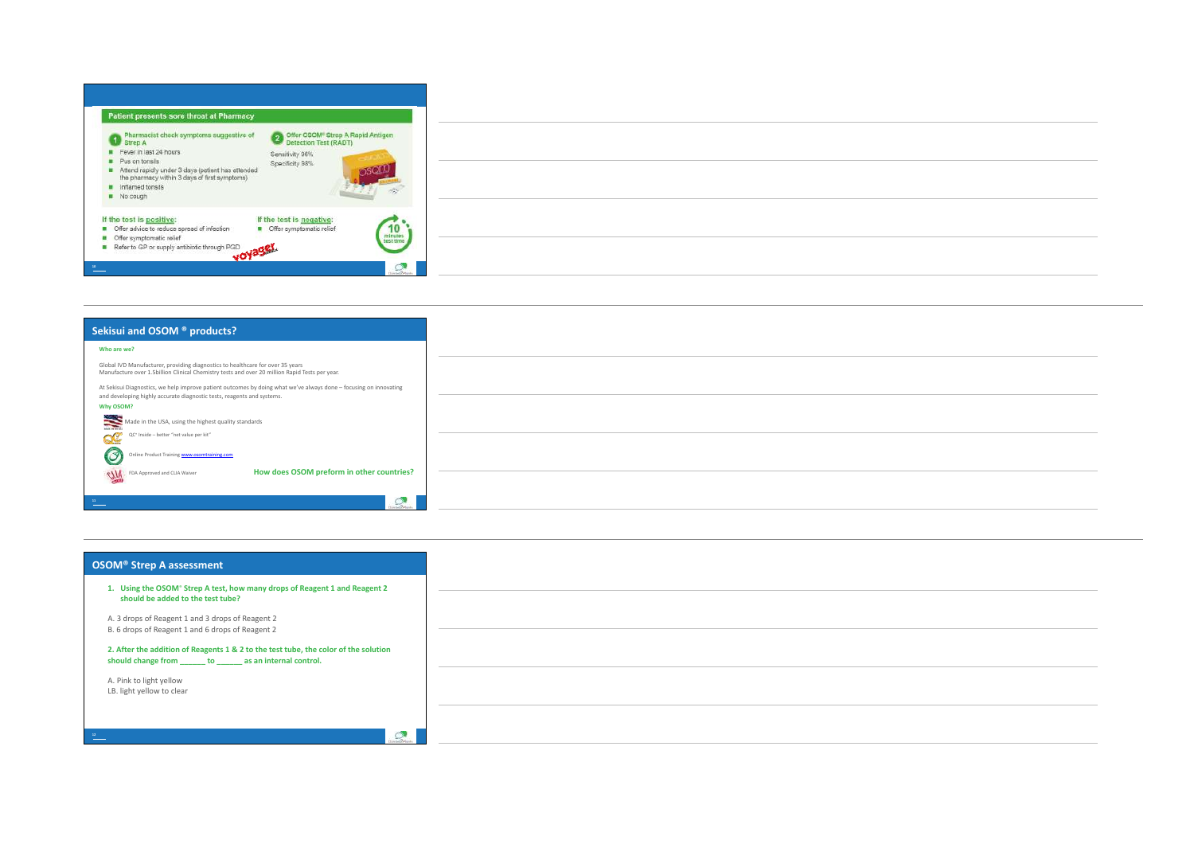



| <b>OSOM<sup>®</sup> Strep A assessment</b>                                                                                                            |
|-------------------------------------------------------------------------------------------------------------------------------------------------------|
| 1. Using the OSOM® Strep A test, how many drops of Reagent 1 and Reagent 2<br>should be added to the test tube?                                       |
| A. 3 drops of Reagent 1 and 3 drops of Reagent 2<br>B. 6 drops of Reagent 1 and 6 drops of Reagent 2                                                  |
| 2. After the addition of Reagents 1 & 2 to the test tube, the color of the solution<br>should change from ________ to _______ as an internal control. |
| A. Pink to light yellow<br>LB. light yellow to clear                                                                                                  |
|                                                                                                                                                       |
| $\frac{12}{2}$                                                                                                                                        |